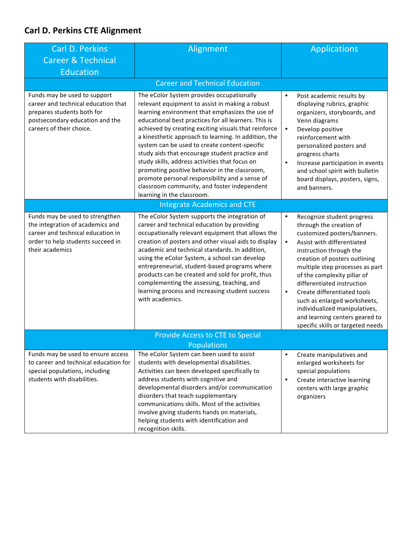## **Carl D. Perkins CTE Alignment**

| <b>Carl D. Perkins</b>                                                                                                                                           |                                                                                                                                                                                                                                                                                                                                                                                                                                                                                                                                                                                 |                                                                                                                                                                                                                                                                                                                                                                                                                                                                                              |  |  |  |
|------------------------------------------------------------------------------------------------------------------------------------------------------------------|---------------------------------------------------------------------------------------------------------------------------------------------------------------------------------------------------------------------------------------------------------------------------------------------------------------------------------------------------------------------------------------------------------------------------------------------------------------------------------------------------------------------------------------------------------------------------------|----------------------------------------------------------------------------------------------------------------------------------------------------------------------------------------------------------------------------------------------------------------------------------------------------------------------------------------------------------------------------------------------------------------------------------------------------------------------------------------------|--|--|--|
|                                                                                                                                                                  | Alignment                                                                                                                                                                                                                                                                                                                                                                                                                                                                                                                                                                       | <b>Applications</b>                                                                                                                                                                                                                                                                                                                                                                                                                                                                          |  |  |  |
| <b>Career &amp; Technical</b>                                                                                                                                    |                                                                                                                                                                                                                                                                                                                                                                                                                                                                                                                                                                                 |                                                                                                                                                                                                                                                                                                                                                                                                                                                                                              |  |  |  |
| <b>Education</b>                                                                                                                                                 |                                                                                                                                                                                                                                                                                                                                                                                                                                                                                                                                                                                 |                                                                                                                                                                                                                                                                                                                                                                                                                                                                                              |  |  |  |
| <b>Career and Technical Education</b>                                                                                                                            |                                                                                                                                                                                                                                                                                                                                                                                                                                                                                                                                                                                 |                                                                                                                                                                                                                                                                                                                                                                                                                                                                                              |  |  |  |
| Funds may be used to support<br>career and technical education that<br>prepares students both for<br>postsecondary education and the<br>careers of their choice. | The eColor System provides occupationally<br>relevant equipment to assist in making a robust<br>learning environment that emphasizes the use of<br>educational best practices for all learners. This is<br>achieved by creating exciting visuals that reinforce<br>a kinesthetic approach to learning. In addition, the<br>system can be used to create content-specific<br>study aids that encourage student practice and<br>study skills, address activities that focus on<br>promoting positive behavior in the classroom,<br>promote personal responsibility and a sense of | ٠<br>Post academic results by<br>displaying rubrics, graphic<br>organizers, storyboards, and<br>Venn diagrams<br>Develop positive<br>$\bullet$<br>reinforcement with<br>personalized posters and<br>progress charts<br>Increase participation in events<br>$\bullet$<br>and school spirit with bulletin<br>board displays, posters, signs,                                                                                                                                                   |  |  |  |
|                                                                                                                                                                  | classroom community, and foster independent<br>learning in the classroom.                                                                                                                                                                                                                                                                                                                                                                                                                                                                                                       | and banners.                                                                                                                                                                                                                                                                                                                                                                                                                                                                                 |  |  |  |
|                                                                                                                                                                  | <b>Integrate Academics and CTE</b>                                                                                                                                                                                                                                                                                                                                                                                                                                                                                                                                              |                                                                                                                                                                                                                                                                                                                                                                                                                                                                                              |  |  |  |
|                                                                                                                                                                  |                                                                                                                                                                                                                                                                                                                                                                                                                                                                                                                                                                                 |                                                                                                                                                                                                                                                                                                                                                                                                                                                                                              |  |  |  |
| Funds may be used to strengthen<br>the integration of academics and<br>career and technical education in<br>order to help students succeed in<br>their academics | The eColor System supports the integration of<br>career and technical education by providing<br>occupationally relevant equipment that allows the<br>creation of posters and other visual aids to display<br>academic and technical standards. In addition,<br>using the eColor System, a school can develop<br>entrepreneurial, student-based programs where<br>products can be created and sold for profit, thus<br>complementing the assessing, teaching, and<br>learning process and increasing student success<br>with academics.                                          | Recognize student progress<br>$\bullet$<br>through the creation of<br>customized posters/banners.<br>$\bullet$<br>Assist with differentiated<br>instruction through the<br>creation of posters outlining<br>multiple step processes as part<br>of the complexity pillar of<br>differentiated instruction<br>Create differentiated tools<br>$\bullet$<br>such as enlarged worksheets,<br>individualized manipulatives,<br>and learning centers geared to<br>specific skills or targeted needs |  |  |  |
| <b>Provide Access to CTE to Special</b>                                                                                                                          |                                                                                                                                                                                                                                                                                                                                                                                                                                                                                                                                                                                 |                                                                                                                                                                                                                                                                                                                                                                                                                                                                                              |  |  |  |
|                                                                                                                                                                  | Populations                                                                                                                                                                                                                                                                                                                                                                                                                                                                                                                                                                     |                                                                                                                                                                                                                                                                                                                                                                                                                                                                                              |  |  |  |
| Funds may be used to ensure access<br>to career and technical education for<br>special populations, including<br>students with disabilities.                     | The eColor System can been used to assist<br>students with developmental disabilities.<br>Activities can been developed specifically to<br>address students with cognitive and<br>developmental disorders and/or communication<br>disorders that teach supplementary<br>communications skills. Most of the activities<br>involve giving students hands on materials,<br>helping students with identification and<br>recognition skills.                                                                                                                                         | $\bullet$<br>Create manipulatives and<br>enlarged worksheets for<br>special populations<br>Create interactive learning<br>$\bullet$<br>centers with large graphic<br>organizers                                                                                                                                                                                                                                                                                                              |  |  |  |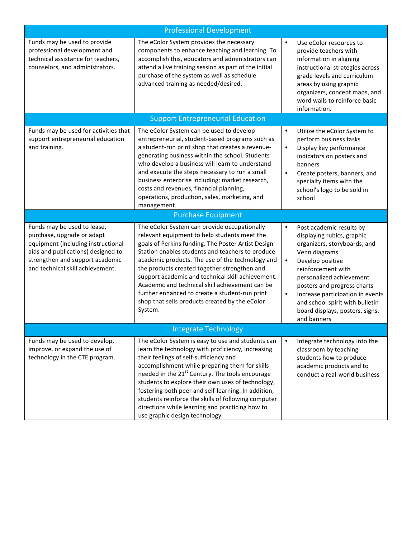| <b>Professional Development</b>                                                                                                                                                                              |                                                                                                                                                                                                                                                                                                                                                                                                                                                                                                                                   |                                     |                                                                                                                                                                                                                                                                                                                                       |  |
|--------------------------------------------------------------------------------------------------------------------------------------------------------------------------------------------------------------|-----------------------------------------------------------------------------------------------------------------------------------------------------------------------------------------------------------------------------------------------------------------------------------------------------------------------------------------------------------------------------------------------------------------------------------------------------------------------------------------------------------------------------------|-------------------------------------|---------------------------------------------------------------------------------------------------------------------------------------------------------------------------------------------------------------------------------------------------------------------------------------------------------------------------------------|--|
| Funds may be used to provide<br>professional development and<br>technical assistance for teachers,<br>counselors, and administrators.                                                                        | The eColor System provides the necessary<br>components to enhance teaching and learning. To<br>accomplish this, educators and administrators can<br>attend a live training session as part of the initial<br>purchase of the system as well as schedule<br>advanced training as needed/desired.                                                                                                                                                                                                                                   | $\bullet$                           | Use eColor resources to<br>provide teachers with<br>information in aligning<br>instructional strategies across<br>grade levels and curriculum<br>areas by using graphic<br>organizers, concept maps, and<br>word walls to reinforce basic<br>information.                                                                             |  |
|                                                                                                                                                                                                              | <b>Support Entrepreneurial Education</b>                                                                                                                                                                                                                                                                                                                                                                                                                                                                                          |                                     |                                                                                                                                                                                                                                                                                                                                       |  |
| Funds may be used for activities that<br>support entrepreneurial education<br>and training.                                                                                                                  | The eColor System can be used to develop<br>entrepreneurial, student-based programs such as<br>a student-run print shop that creates a revenue-<br>generating business within the school. Students<br>who develop a business will learn to understand<br>and execute the steps necessary to run a small<br>business enterprise including: market research,<br>costs and revenues, financial planning,<br>operations, production, sales, marketing, and<br>management.                                                             | $\bullet$<br>$\bullet$<br>$\bullet$ | Utilize the eColor System to<br>perform business tasks<br>Display key performance<br>indicators on posters and<br>banners<br>Create posters, banners, and<br>specialty items with the<br>school's logo to be sold in<br>school                                                                                                        |  |
| <b>Purchase Equipment</b>                                                                                                                                                                                    |                                                                                                                                                                                                                                                                                                                                                                                                                                                                                                                                   |                                     |                                                                                                                                                                                                                                                                                                                                       |  |
| Funds may be used to lease,<br>purchase, upgrade or adapt<br>equipment (including instructional<br>aids and publications) designed to<br>strengthen and support academic<br>and technical skill achievement. | The eColor System can provide occupationally<br>relevant equipment to help students meet the<br>goals of Perkins funding. The Poster Artist Design<br>Station enables students and teachers to produce<br>academic products. The use of the technology and<br>the products created together strengthen and<br>support academic and technical skill achievement.<br>Academic and technical skill achievement can be<br>further enhanced to create a student-run print<br>shop that sells products created by the eColor<br>System. | $\bullet$<br>$\bullet$<br>$\bullet$ | Post academic results by<br>displaying rubics, graphic<br>organizers, storyboards, and<br>Venn diagrams<br>Develop positive<br>reinforcement with<br>personalized achievement<br>posters and progress charts<br>Increase participation in events<br>and school spirit with bulletin<br>board displays, posters, signs,<br>and banners |  |
| <b>Integrate Technology</b>                                                                                                                                                                                  |                                                                                                                                                                                                                                                                                                                                                                                                                                                                                                                                   |                                     |                                                                                                                                                                                                                                                                                                                                       |  |
| Funds may be used to develop,<br>improve, or expand the use of<br>technology in the CTE program.                                                                                                             | The eColor System is easy to use and students can<br>learn the technology with proficiency, increasing<br>their feelings of self-sufficiency and<br>accomplishment while preparing them for skills<br>needed in the 21 <sup>st</sup> Century. The tools encourage<br>students to explore their own uses of technology,<br>fostering both peer and self-learning. In addition,<br>students reinforce the skills of following computer<br>directions while learning and practicing how to<br>use graphic design technology.         | $\bullet$                           | Integrate technology into the<br>classroom by teaching<br>students how to produce<br>academic products and to<br>conduct a real-world business                                                                                                                                                                                        |  |